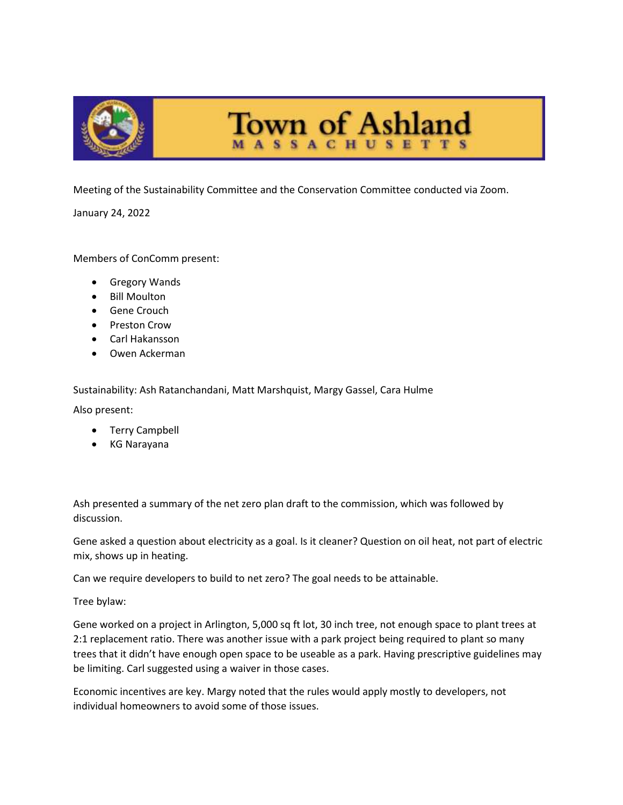

Meeting of the Sustainability Committee and the Conservation Committee conducted via Zoom.

January 24, 2022

## Members of ConComm present:

- Gregory Wands
- Bill Moulton
- **•** Gene Crouch
- Preston Crow
- Carl Hakansson
- Owen Ackerman

Sustainability: Ash Ratanchandani, Matt Marshquist, Margy Gassel, Cara Hulme

Also present:

- Terry Campbell
- KG Narayana

Ash presented a summary of the net zero plan draft to the commission, which was followed by discussion.

Gene asked a question about electricity as a goal. Is it cleaner? Question on oil heat, not part of electric mix, shows up in heating.

Can we require developers to build to net zero? The goal needs to be attainable.

Tree bylaw:

Gene worked on a project in Arlington, 5,000 sq ft lot, 30 inch tree, not enough space to plant trees at 2:1 replacement ratio. There was another issue with a park project being required to plant so many trees that it didn't have enough open space to be useable as a park. Having prescriptive guidelines may be limiting. Carl suggested using a waiver in those cases.

Economic incentives are key. Margy noted that the rules would apply mostly to developers, not individual homeowners to avoid some of those issues.